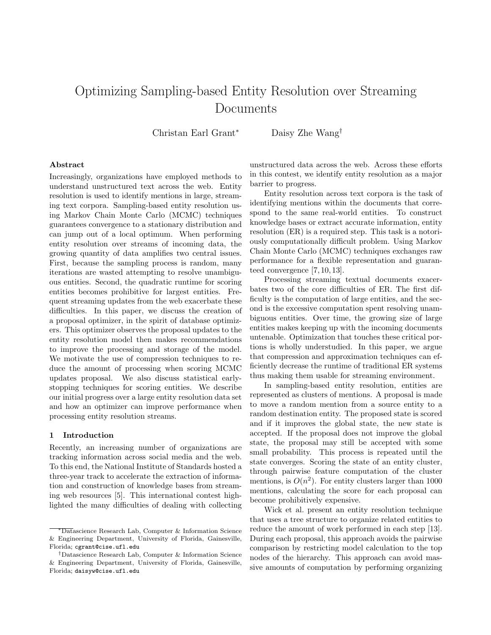# Optimizing Sampling-based Entity Resolution over Streaming Documents

Christan Earl Grant<sup>\*</sup> Daisy Zhe Wang<sup>†</sup>

#### Abstract

Increasingly, organizations have employed methods to understand unstructured text across the web. Entity resolution is used to identify mentions in large, streaming text corpora. Sampling-based entity resolution using Markov Chain Monte Carlo (MCMC) techniques guarantees convergence to a stationary distribution and can jump out of a local optimum. When performing entity resolution over streams of incoming data, the growing quantity of data amplifies two central issues. First, because the sampling process is random, many iterations are wasted attempting to resolve unambiguous entities. Second, the quadratic runtime for scoring entities becomes prohibitive for largest entities. Frequent streaming updates from the web exacerbate these difficulties. In this paper, we discuss the creation of a proposal optimizer, in the spirit of database optimizers. This optimizer observes the proposal updates to the entity resolution model then makes recommendations to improve the processing and storage of the model. We motivate the use of compression techniques to reduce the amount of processing when scoring MCMC updates proposal. We also discuss statistical earlystopping techniques for scoring entities. We describe our initial progress over a large entity resolution data set and how an optimizer can improve performance when processing entity resolution streams.

#### 1 Introduction

Recently, an increasing number of organizations are tracking information across social media and the web. To this end, the National Institute of Standards hosted a three-year track to accelerate the extraction of information and construction of knowledge bases from streaming web resources [\[5\]](#page-6-0). This international contest highlighted the many difficulties of dealing with collecting

unstructured data across the web. Across these efforts in this contest, we identify entity resolution as a major barrier to progress.

Entity resolution across text corpora is the task of identifying mentions within the documents that correspond to the same real-world entities. To construct knowledge bases or extract accurate information, entity resolution (ER) is a required step. This task is a notoriously computationally difficult problem. Using Markov Chain Monte Carlo (MCMC) techniques exchanges raw performance for a flexible representation and guaranteed convergence [\[7,](#page-6-1) [10,](#page-6-2) [13\]](#page-6-3).

Processing streaming textual documents exacerbates two of the core difficulties of ER. The first difficulty is the computation of large entities, and the second is the excessive computation spent resolving unambiguous entities. Over time, the growing size of large entities makes keeping up with the incoming documents untenable. Optimization that touches these critical portions is wholly understudied. In this paper, we argue that compression and approximation techniques can efficiently decrease the runtime of traditional ER systems thus making them usable for streaming environment.

In sampling-based entity resolution, entities are represented as clusters of mentions. A proposal is made to move a random mention from a source entity to a random destination entity. The proposed state is scored and if it improves the global state, the new state is accepted. If the proposal does not improve the global state, the proposal may still be accepted with some small probability. This process is repeated until the state converges. Scoring the state of an entity cluster, through pairwise feature computation of the cluster mentions, is  $O(n^2)$ . For entity clusters larger than 1000 mentions, calculating the score for each proposal can become prohibitively expensive.

Wick et al. present an entity resolution technique that uses a tree structure to organize related entities to reduce the amount of work performed in each step [\[13\]](#page-6-3). During each proposal, this approach avoids the pairwise comparison by restricting model calculation to the top nodes of the hierarchy. This approach can avoid massive amounts of computation by performing organizing

<sup>⇤</sup>Datascience Research Lab, Computer & Information Science & Engineering Department, University of Florida, Gainesville, Florida; <cgrant@cise.ufl.edu>

*<sup>†</sup>*Datascience Research Lab, Computer & Information Science & Engineering Department, University of Florida, Gainesville, Florida; <daisyw@cise.ufl.edu>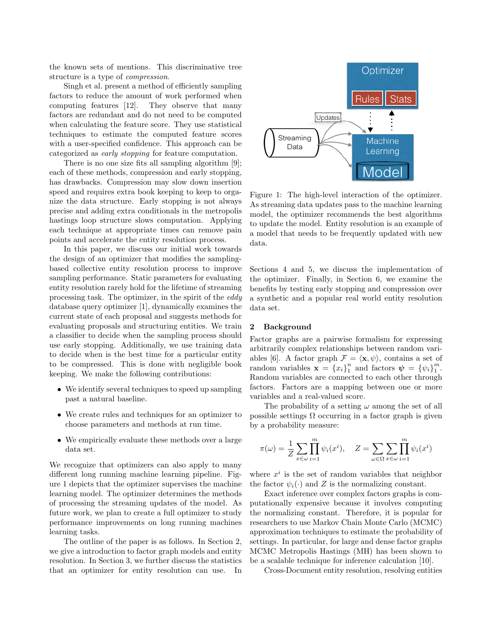the known sets of mentions. This discriminative tree structure is a type of *compression*.

Singh et al. present a method of efficiently sampling factors to reduce the amount of work performed when computing features [\[12\]](#page-6-4). They observe that many factors are redundant and do not need to be computed when calculating the feature score. They use statistical techniques to estimate the computed feature scores with a user-specified confidence. This approach can be categorized as *early stopping* for feature computation.

There is no one size fits all sampling algorithm [\[9\]](#page-6-5); each of these methods, compression and early stopping, has drawbacks. Compression may slow down insertion speed and requires extra book keeping to keep to organize the data structure. Early stopping is not always precise and adding extra conditionals in the metropolis hastings loop structure slows computation. Applying each technique at appropriate times can remove pain points and accelerate the entity resolution process.

In this paper, we discuss our initial work towards the design of an optimizer that modifies the samplingbased collective entity resolution process to improve sampling performance. Static parameters for evaluating entity resolution rarely hold for the lifetime of streaming processing task. The optimizer, in the spirit of the *eddy* database query optimizer [\[1\]](#page-5-0), dynamically examines the current state of each proposal and suggests methods for evaluating proposals and structuring entities. We train a classifier to decide when the sampling process should use early stopping. Additionally, we use training data to decide when is the best time for a particular entity to be compressed. This is done with negligible book keeping. We make the following contributions:

- We identify several techniques to speed up sampling past a natural baseline.
- *•* We create rules and techniques for an optimizer to choose parameters and methods at run time.
- We empirically evaluate these methods over a large data set.

We recognize that optimizers can also apply to many different long running machine learning pipeline. Figure [1](#page-1-0) depicts that the optimizer supervises the machine learning model. The optimizer determines the methods of processing the streaming updates of the model. As future work, we plan to create a full optimizer to study performance improvements on long running machines learning tasks.

The outline of the paper is as follows. In Section [2,](#page-1-1) we give a introduction to factor graph models and entity resolution. In Section [3,](#page-2-0) we further discuss the statistics that an optimizer for entity resolution can use. In

<span id="page-1-0"></span>

Figure 1: The high-level interaction of the optimizer. As streaming data updates pass to the machine learning model, the optimizer recommends the best algorithms to update the model. Entity resolution is an example of a model that needs to be frequently updated with new data.

Sections [4](#page-3-0) and [5,](#page-3-1) we discuss the implementation of the optimizer. Finally, in Section [6,](#page-4-0) we examine the benefits by testing early stopping and compression over a synthetic and a popular real world entity resolution data set.

## <span id="page-1-1"></span>2 Background

Factor graphs are a pairwise formalism for expressing arbitrarily complex relationships between random vari-ables [\[6\]](#page-6-6). A factor graph  $\mathcal{F} = \langle \mathbf{x}, \psi \rangle$ , contains a set of random variables  $\mathbf{x} = \{x_i\}_{1}^{n}$  and factors  $\boldsymbol{\psi} = \{\psi_i\}_{1}^{m}$ . Random variables are connected to each other through factors. Factors are a mapping between one or more variables and a real-valued score.

The probability of a setting  $\omega$  among the set of all possible settings  $\Omega$  occurring in a factor graph is given by a probability measure:

$$
\pi(\omega) = \frac{1}{Z} \sum_{x \in \omega} \prod_{i=1}^{m} \psi_i(x^i), \quad Z = \sum_{\omega \in \Omega} \sum_{x \in \omega} \prod_{i=1}^{m} \psi_i(x^i)
$$

where  $x^i$  is the set of random variables that neighbor the factor  $\psi_i(\cdot)$  and *Z* is the normalizing constant.

Exact inference over complex factors graphs is computationally expensive because it involves computing the normalizing constant. Therefore, it is popular for researchers to use Markov Chain Monte Carlo (MCMC) approximation techniques to estimate the probability of settings. In particular, for large and dense factor graphs MCMC Metropolis Hastings (MH) has been shown to be a scalable technique for inference calculation [\[10\]](#page-6-2).

Cross-Document entity resolution, resolving entities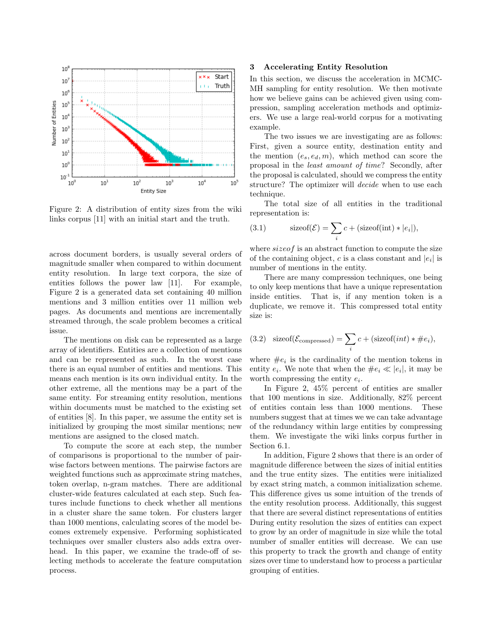<span id="page-2-1"></span>

Figure 2: A distribution of entity sizes from the wiki links corpus [\[11\]](#page-6-7) with an initial start and the truth.

across document borders, is usually several orders of magnitude smaller when compared to within document entity resolution. In large text corpora, the size of entities follows the power law [\[11\]](#page-6-7). For example, Figure [2](#page-2-1) is a generated data set containing 40 million mentions and 3 million entities over 11 million web pages. As documents and mentions are incrementally streamed through, the scale problem becomes a critical issue.

The mentions on disk can be represented as a large array of identifiers. Entities are a collection of mentions and can be represented as such. In the worst case there is an equal number of entities and mentions. This means each mention is its own individual entity. In the other extreme, all the mentions may be a part of the same entity. For streaming entity resolution, mentions within documents must be matched to the existing set of entities [\[8\]](#page-6-8). In this paper, we assume the entity set is initialized by grouping the most similar mentions; new mentions are assigned to the closed match.

To compute the score at each step, the number of comparisons is proportional to the number of pairwise factors between mentions. The pairwise factors are weighted functions such as approximate string matches, token overlap, n-gram matches. There are additional cluster-wide features calculated at each step. Such features include functions to check whether all mentions in a cluster share the same token. For clusters larger than 1000 mentions, calculating scores of the model becomes extremely expensive. Performing sophisticated techniques over smaller clusters also adds extra overhead. In this paper, we examine the trade-off of selecting methods to accelerate the feature computation process.

#### <span id="page-2-0"></span>3 Accelerating Entity Resolution

In this section, we discuss the acceleration in MCMC-MH sampling for entity resolution. We then motivate how we believe gains can be achieved given using compression, sampling acceleration methods and optimizers. We use a large real-world corpus for a motivating example.

The two issues we are investigating are as follows: First, given a source entity, destination entity and the mention  $(e_s, e_d, m)$ , which method can score the proposal in the *least amount of time*? Secondly, after the proposal is calculated, should we compress the entity structure? The optimizer will *decide* when to use each technique.

The total size of all entities in the traditional representation is:

(3.1) 
$$
\text{sizeof}(\mathcal{E}) = \sum_{i} c + (\text{sizeof}(\text{int}) * |e_i|),
$$

where *sizeof* is an abstract function to compute the size of the containing object, *c* is a class constant and  $|e_i|$  is number of mentions in the entity.

There are many compression techniques, one being to only keep mentions that have a unique representation inside entities. That is, if any mention token is a duplicate, we remove it. This compressed total entity size is:

(3.2) sizeof(
$$
\mathcal{E}_{\text{compressed}}
$$
) =  $\sum_{i} c + (\text{sizeof}(int) * \#e_i),$ 

where  $\#e_i$  is the cardinality of the mention tokens in entity  $e_i$ . We note that when the  $\#e_i \ll |e_i|$ , it may be worth compressing the entity *ei*.

In Figure [2,](#page-2-1) 45% percent of entities are smaller that 100 mentions in size. Additionally, 82% percent of entities contain less than 1000 mentions. These numbers suggest that at times we we can take advantage of the redundancy within large entities by compressing them. We investigate the wiki links corpus further in Section [6.1.](#page-4-1)

In addition, Figure [2](#page-2-1) shows that there is an order of magnitude difference between the sizes of initial entities and the true entity sizes. The entities were initialized by exact string match, a common initialization scheme. This difference gives us some intuition of the trends of the entity resolution process. Additionally, this suggest that there are several distinct representations of entities During entity resolution the sizes of entities can expect to grow by an order of magnitude in size while the total number of smaller entities will decrease. We can use this property to track the growth and change of entity sizes over time to understand how to process a particular grouping of entities.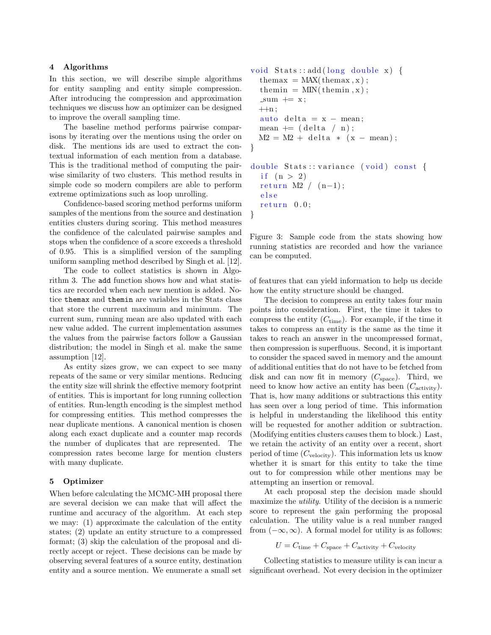#### <span id="page-3-0"></span>4 Algorithms

In this section, we will describe simple algorithms for entity sampling and entity simple compression. After introducing the compression and approximation techniques we discuss how an optimizer can be designed to improve the overall sampling time.

The baseline method performs pairwise comparisons by iterating over the mentions using the order on disk. The mentions ids are used to extract the contextual information of each mention from a database. This is the traditional method of computing the pairwise similarity of two clusters. This method results in simple code so modern compilers are able to perform extreme optimizations such as loop unrolling.

Confidence-based scoring method performs uniform samples of the mentions from the source and destination entities clusters during scoring. This method measures the confidence of the calculated pairwise samples and stops when the confidence of a score exceeds a threshold of 0.95. This is a simplified version of the sampling uniform sampling method described by Singh et al. [\[12\]](#page-6-4).

The code to collect statistics is shown in Algorithm [3.](#page-3-2) The add function shows how and what statistics are recorded when each new mention is added. Notice themax and themin are variables in the Stats class that store the current maximum and minimum. The current sum, running mean are also updated with each new value added. The current implementation assumes the values from the pairwise factors follow a Gaussian distribution; the model in Singh et al. make the same assumption [\[12\]](#page-6-4).

As entity sizes grow, we can expect to see many repeats of the same or very similar mentions. Reducing the entity size will shrink the effective memory footprint of entities. This is important for long running collection of entities. Run-length encoding is the simplest method for compressing entities. This method compresses the near duplicate mentions. A canonical mention is chosen along each exact duplicate and a counter map records the number of duplicates that are represented. The compression rates become large for mention clusters with many duplicate.

## <span id="page-3-1"></span>5 Optimizer

When before calculating the MCMC-MH proposal there are several decision we can make that will affect the runtime and accuracy of the algorithm. At each step we may: (1) approximate the calculation of the entity states; (2) update an entity structure to a compressed format; (3) skip the calculation of the proposal and directly accept or reject. These decisions can be made by observing several features of a source entity, destination entity and a source mention. We enumerate a small set

```
void Stats : : add ( long double x ) {
  \text{themax} = \text{MAX}(\text{themax}, \text{x});themin = MIN(themin, x);
  -sum += x;+n;auto delta = x - mean;mean + (delta / n);
  M2 = M2 + delta * (x - mean);
}
double Stats :: variance ( void ) const {
  if (n > 2)return M2 / (n-1);
  else
  return 0.0;
}
```
Figure 3: Sample code from the stats showing how running statistics are recorded and how the variance can be computed.

of features that can yield information to help us decide how the entity structure should be changed.

The decision to compress an entity takes four main points into consideration. First, the time it takes to compress the entity  $(C_{time})$ . For example, if the time it takes to compress an entity is the same as the time it takes to reach an answer in the uncompressed format, then compression is superfluous. Second, it is important to consider the spaced saved in memory and the amount of additional entities that do not have to be fetched from disk and can now fit in memory  $(C_{\text{space}})$ . Third, we need to know how active an entity has been  $(C_{\text{activity}})$ . That is, how many additions or subtractions this entity has seen over a long period of time. This information is helpful in understanding the likelihood this entity will be requested for another addition or subtraction. (Modifying entities clusters causes them to block.) Last, we retain the activity of an entity over a recent, short period of time (*C*velocity). This information lets us know whether it is smart for this entity to take the time out to for compression while other mentions may be attempting an insertion or removal.

At each proposal step the decision made should maximize the *utility*. Utility of the decision is a numeric score to represent the gain performing the proposal calculation. The utility value is a real number ranged from  $(-\infty, \infty)$ . A formal model for utility is as follows:

$$
U = C_{\text{time}} + C_{\text{space}} + C_{\text{activity}} + C_{\text{velocity}}
$$

Collecting statistics to measure utility is can incur a significant overhead. Not every decision in the optimizer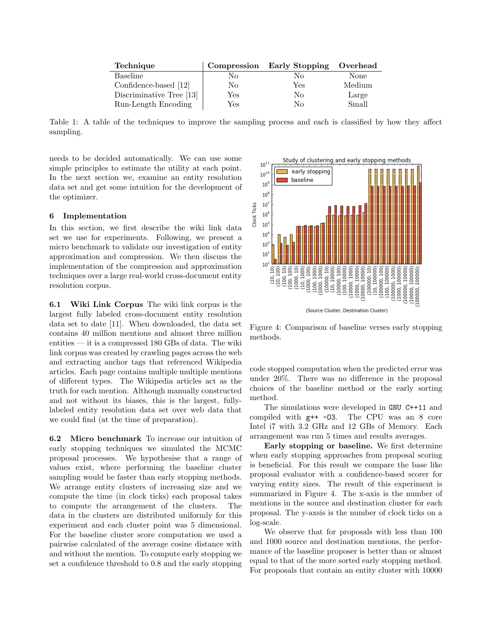| Technique                |     | Compression Early Stopping | Overhead |
|--------------------------|-----|----------------------------|----------|
| Baseline                 | No  | No                         | None     |
| Confidence-based [12]    | No  | Yes                        | Medium   |
| Discriminative Tree [13] | Yes | No                         | Large    |
| Run-Length Encoding      | Yes | Nο                         | Small    |

Table 1: A table of the techniques to improve the sampling process and each is classified by how they affect sampling.

needs to be decided automatically. We can use some simple principles to estimate the utility at each point. In the next section we, examine an entity resolution data set and get some intuition for the development of the optimizer.

## <span id="page-4-0"></span>6 Implementation

In this section, we first describe the wiki link data set we use for experiments. Following, we present a micro benchmark to validate our investigation of entity approximation and compression. We then discuss the implementation of the compression and approximation techniques over a large real-world cross-document entity resolution corpus.

<span id="page-4-1"></span>6.1 Wiki Link Corpus The wiki link corpus is the largest fully labeled cross-document entity resolution data set to date [\[11\]](#page-6-7). When downloaded, the data set contains 40 million mentions and almost three million entities — it is a compressed 180 GBs of data. The wiki link corpus was created by crawling pages across the web and extracting anchor tags that referenced Wikipedia articles. Each page contains multiple multiple mentions of different types. The Wikipedia articles act as the truth for each mention. Although manually constructed and not without its biases, this is the largest, fullylabeled entity resolution data set over web data that we could find (at the time of preparation).

6.2 Micro benchmark To increase our intuition of early stopping techniques we simulated the MCMC proposal processes. We hypothesise that a range of values exist, where performing the baseline cluster sampling would be faster than early stopping methods. We arrange entity clusters of increasing size and we compute the time (in clock ticks) each proposal takes to compute the arrangement of the clusters. The data in the clusters are distributed uniformly for this experiment and each cluster point was 5 dimensional. For the baseline cluster score computation we used a pairwise calculated of the average cosine distance with and without the mention. To compute early stopping we set a confidence threshold to 0*.*8 and the early stopping

<span id="page-4-2"></span>

Figure 4: Comparison of baseline verses early stopping methods.

code stopped computation when the predicted error was under  $20\%$ . There was no difference in the proposal choices of the baseline method or the early sorting method.

The simulations were developed in GNU C++11 and compiled with g++ -O3. The CPU was an 8 core Intel i7 with 3.2 GHz and 12 GBs of Memory. Each arrangement was run 5 times and results averages.

Early stopping or baseline. We first determine when early stopping approaches from proposal scoring is beneficial. For this result we compare the base like proposal evaluator with a confidence-based scorer for varying entity sizes. The result of this experiment is summarized in Figure [4.](#page-4-2) The x-axis is the number of mentions in the source and destination cluster for each proposal. The y-axsis is the number of clock ticks on a log-scale.

We observe that for proposals with less than 100 and 1000 source and destination mentions, the performance of the baseline proposer is better than or almost equal to that of the more sorted early stopping method. For proposals that contain an entity cluster with 10000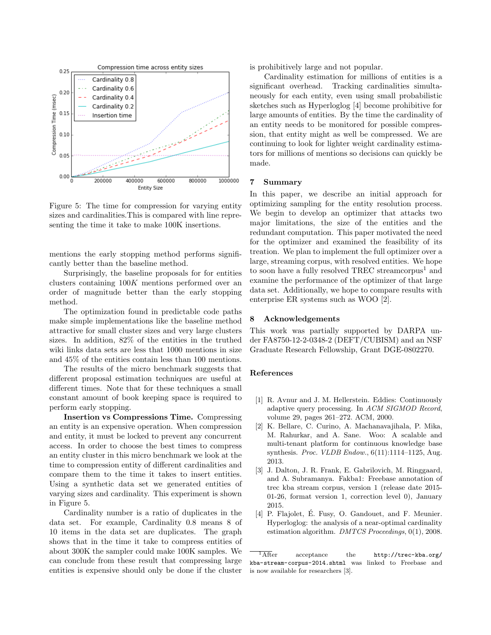<span id="page-5-1"></span>

Figure 5: The time for compression for varying entity sizes and cardinalities.This is compared with line representing the time it take to make 100K insertions.

mentions the early stopping method performs significantly better than the baseline method.

Surprisingly, the baseline proposals for for entities clusters containing 100*K* mentions performed over an order of magnitude better than the early stopping method.

The optimization found in predictable code paths make simple implementations like the baseline method attractive for small cluster sizes and very large clusters sizes. In addition, 82% of the entities in the truthed wiki links data sets are less that 1000 mentions in size and 45% of the entities contain less than 100 mentions.

The results of the micro benchmark suggests that different proposal estimation techniques are useful at different times. Note that for these techniques a small constant amount of book keeping space is required to perform early stopping.

Insertion vs Compressions Time. Compressing an entity is an expensive operation. When compression and entity, it must be locked to prevent any concurrent access. In order to choose the best times to compress an entity cluster in this micro benchmark we look at the time to compression entity of different cardinalities and compare them to the time it takes to insert entities. Using a synthetic data set we generated entities of varying sizes and cardinality. This experiment is shown in Figure [5.](#page-5-1)

Cardinality number is a ratio of duplicates in the data set. For example, Cardinality 0.8 means 8 of 10 items in the data set are duplicates. The graph shows that in the time it take to compress entities of about 300K the sampler could make 100K samples. We can conclude from these result that compressing large entities is expensive should only be done if the cluster is prohibitively large and not popular.

Cardinality estimation for millions of entities is a significant overhead. Tracking cardinalities simultaneously for each entity, even using small probabilistic sketches such as Hyperloglog [\[4\]](#page-5-2) become prohibitive for large amounts of entities. By the time the cardinality of an entity needs to be monitored for possible compression, that entity might as well be compressed. We are continuing to look for lighter weight cardinality estimators for millions of mentions so decisions can quickly be made.

## 7 Summary

In this paper, we describe an initial approach for optimizing sampling for the entity resolution process. We begin to develop an optimizer that attacks two major limitations, the size of the entities and the redundant computation. This paper motivated the need for the optimizer and examined the feasibility of its treation. We plan to implement the full optimizer over a large, streaming corpus, with resolved entities. We hope to soon have a fully resolved TREC streamcorpus<sup>[1](#page-5-3)</sup> and examine the performance of the optimizer of that large data set. Additionally, we hope to compare results with enterprise ER systems such as WOO [\[2\]](#page-5-4).

#### 8 Acknowledgements

This work was partially supported by DARPA under FA8750-12-2-0348-2 (DEFT/CUBISM) and an NSF Graduate Research Fellowship, Grant DGE-0802270.

#### References

- <span id="page-5-0"></span>[1] R. Avnur and J. M. Hellerstein. Eddies: Continuously adaptive query processing. In *ACM SIGMOD Record*, volume 29, pages 261–272. ACM, 2000.
- <span id="page-5-4"></span>[2] K. Bellare, C. Curino, A. Machanavajihala, P. Mika, M. Rahurkar, and A. Sane. Woo: A scalable and multi-tenant platform for continuous knowledge base synthesis. *Proc. VLDB Endow.*, 6(11):1114–1125, Aug. 2013.
- <span id="page-5-5"></span>[3] J. Dalton, J. R. Frank, E. Gabrilovich, M. Ringgaard, and A. Subramanya. Fakba1: Freebase annotation of trec kba stream corpus, version 1 (release date 2015- 01-26, format version 1, correction level 0), January 2015.
- <span id="page-5-2"></span>[4] P. Flajolet, É. Fusy, O. Gandouet, and F. Meunier. Hyperloglog: the analysis of a near-optimal cardinality estimation algorithm. *DMTCS Proceedings*, 0(1), 2008.

<span id="page-5-3"></span> $\overline{1\text{After}}$  acceptance the [http://trec-kba.org/](http://trec-kba.org/kba-stream-corpus-2014.shtml) [kba-stream-corpus-2014.shtml](http://trec-kba.org/kba-stream-corpus-2014.shtml) was linked to Freebase and is now available for researchers [\[3\]](#page-5-5).